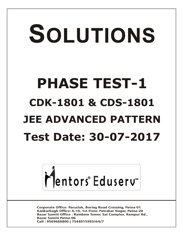# SOLUTIONS **PHASE TEST-1 CDK-1801 & CDS-1801 JEE ADVANCED PATTERN Test Date: 30-07-2017**



**Corporate Office: Paruslok, Boring Road Crossing, Patna-01** Kankarbagh Office: A-10, 1st Floor, Patrakar Nagar, Patna-20 Bazar Samiti Office: Rainbow Tower, Sai Complex, Rampur Rd., **Bazar Samiti Patna-06** Call: 9569668800 | 7544015993/4/6/7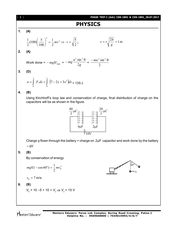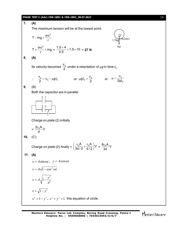### **PHASE TEST-I (Adv) CDK-1801 & CDS-1801\_30.07.2017** [ **3** ]

7. **(A)**  
\nThe maximum tension will be at the lowest point.  
\n
$$
T - mg = \frac{mv^2}{r}
$$
\n
$$
T = \frac{mv^2}{r} + mg = \frac{1.5 \times 4}{0.5} + 1.5 \times 10 = 27 \text{ N}
$$
\n8. **(A)**  
\nIts velocity becomes  $\frac{v_0}{2}$  under a retardation of  $\mu g$  in time  $t_0$ .  
\n
$$
\therefore \frac{v_0}{2} = v_0 - \mu gt_0 \qquad \text{or } \mu gt_0 = \frac{v_0}{2} \qquad \text{or } \mu = \frac{v_0}{2gt_0}
$$
\n9. **(B)**  
\nBoth the capacitor are in parallel  
\n
$$
\begin{bmatrix}\n1 \\
2 \\
1\n\end{bmatrix}
$$
\nChange on plate (2) initially  
\n
$$
= \frac{2v_0 A}{d} V
$$
\n10. (C)  
\nChange on plate (2) finally =  $\left(\frac{v_0 A}{3d/2} + \frac{v_0 A}{d/2}\right)V = \frac{8v_0 A}{3d}V$ \n11. **(A)**  
\n $x = A \sin \omega t$ ,  $y = A \cos \omega t$   
\n $x = A\sqrt{1 - \cos^2 \omega t}$   
\n
$$
x = A\sqrt{1 - \frac{y^2}{4^2}}
$$
\n
$$
x = \sqrt{1 - y^2}, x^2 + y^2 = 1
$$
 this equation of circle.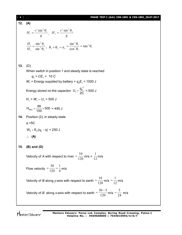### [ **4** ] **PHASE TEST-I (Adv) CDK-1801 & CDS-1801\_30.07.2017**

**12. (A)** *g*  $H_1 = \frac{v^2 \sin^2 \theta_1}{u}$  $\frac{2}{2}$   $\frac{1}{2}$ 1  $=\frac{v^2 \sin^2 \theta_1}{g}, H_2 = \frac{v^2 \sin \theta_2}{g}$  $H_2 = \frac{v^2 \sin^2 \theta_2}{\sin^2 \theta_2}$  $\frac{2}{2}$   $\frac{1}{2}$ 2  $=\frac{v^2\sin^2\theta}{\sin^2\theta}$ 2 2 1 2 2 1 sin sin  $\theta$  $=\frac{\sin^2\theta}{\cos^2\theta}$ *H H*  $\theta_1 + \theta_2 = \pi_2 = \frac{\cos^2{\theta}}{\cos^2{\theta}} = \tan \theta_1$ 2 1 2 1 2 tan cos  $\frac{\sin^2 \theta_1}{\sin^2 \theta} = \tan^2 \theta$  $\theta$  $=\frac{\sin^2\theta}{\sqrt{2}}$ **13.** (D) When switch in position 1 and steady state is reached  $q_0 = C E_1 = 10 C$  $W_1$  = Energy supplied by battery =  $q_0E_1$  = 1000 J Energy stored on the capacitor  $q_1 = \frac{q_0^2}{2C}$  $U_1 = \frac{q}{q}$  $=\frac{q_0}{2C}$  = 500 J  $H_1 = W_1 - U_1 = 500$  J  $H_{99\Omega} = \frac{99}{100} \times 500 = 495 \text{ J}$ **14.** Position (2), in steady state *q* =5C  $W_2 = E_2(q_0 - q) = 250$  J **(A) 15. (B) and (D)** Velocity of *A* with respect to river  $=$   $\frac{1}{120}$  $=\frac{10}{120}$  m/s =  $\frac{1}{12}$ m/s Flow velocity  $=$   $\frac{1}{120}$   $=$   $\frac{1}{4}$ 1 120  $=\frac{30}{120}=\frac{1}{4}$  m/s Velocity of *B* along *y*-axis with respect to earth  $=\frac{1}{120}$  $=\frac{10}{120}$  m/s  $=\frac{1}{12}$  m/s Velocity of *B* along *x*-axis with respect to earth  $=$   $\frac{120}{120}$  $=\frac{30-5}{120}$  m/s  $=\frac{5}{24}$  m/s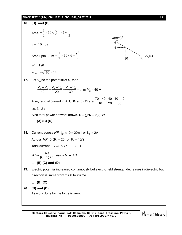### **PHASE TEST-I (Adv) CDK-1801 & CDS-1801\_30.07.2017** [ **5** ]

16. **(B) and (C)**  
\nArea 
$$
=\frac{1}{2} \times 10 \times (6 + 4) = \frac{v^2}{2}
$$
  
\n $v = 10 \text{ m/s}$   
\nArea upto 30 m  $=\frac{1}{2} \times 30 \times 6 = \frac{v^2}{2}$   
\nArea upto 30 m  $=\frac{1}{2} \times 30 \times 6 = \frac{v^2}{2}$   
\n $v^2 = 180$   
\n $v_{max} = \sqrt{180} < 14$   
\n17. Let  $V_p$  be the potential of *D*, then  
\n $\frac{V_A - V_p}{10} + \frac{V_B - V_p}{20} + \frac{V_c - V_p}{30} = 0 \Rightarrow V_p = 40 \text{ V}$   
\nAlso, ratio of current in *AD*, *DB* and *DC* are  $\frac{70 - 40}{10} : \frac{40}{20} : \frac{40 - 10}{30}$   
\ni.e. 3 : 2 : 1  
\nAlso total power network draws,  $P = \sum \{PR = 200 \text{ W}$   
\n $\therefore$  (A) (B) (D)  
\n18. Current across *NP*,  $I_{\text{top}} \times 10 = 20 \times 1$  or  $I_{\text{top}} = 2A$   
\nAccess *MP*, 0.5R<sub>1</sub> = 20 or R<sub>1</sub> = 40 $\Omega$   
\nTotal current = 2 + 0.5 + 1.0 = 3.5 $\Omega$   
\n3.5 =  $\frac{69}{R + 40/4}$  yields  $R = 4\Omega$   
\n $\therefore$  (B) (C) and (D)  
\n19. Electric potential increased continuously but electric field strength decreases in dielectric but direction is same from  $x = 0$  to  $x = 3d$ .  
\n $\therefore$  (B) (C)  
\n20. (B) and (D)  
\nAs work done by the force is zero.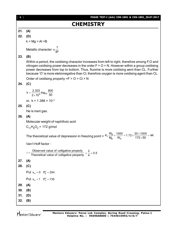# **CHEMISTRY**

# **21. (A)**

**22. (D)**

 $k > Mg > Al > B$ 

Metallic character  $\alpha \frac{1}{|P|}$  $\alpha$ 

### **23. (B)**

Within a period, the oxidising charactor increases from left to right, therefore among F,O and nitrogen oxidising power decreases in the order  $F > 0 > N$ . However within a group oxidising power decreases from top to bottom. Thus, fluorine is more oxidising aent than CL. Further because 'O' is more eletronegative than Cl, therefore oxygen is more oxidising agent than CL.

Order of oxidising property  $=F > 0 > C I > N$ 

# **24. (C)**

$$
k = \frac{2.303}{2 \times 10^4} \log_{10} \frac{800}{50}
$$

or,  $k = 1.386 \times 10^{-4}$ 

# **25. (C)**

He is inert gas.

### **26. (A)**

Molecular weight of naphthoic acid

$$
C_{11}H_8O_2 = 172 \text{ g/mol}
$$

The theoretical value of depression in freezing point =  $K_f \frac{W_B}{W_B} \times \frac{1000}{W_A}$  $K_f \frac{W_B}{M_B} \times \frac{1000}{W_A} = 1.72 \times \frac{20 \times 1000}{172 \times 50} = 4K$  $\times \frac{1000}{W_A}$  = 1.72  $\times \frac{20 \times 1000}{172 \times 50}$  = 4

Van't Hoff factor :

```
Observed value of colligative property
i = \frac{\text{Observed value of colligative property}}{\text{Theoretical value of colligative property}} = \frac{2}{4} = 0.5
```

```
27. (A)
```
# **28. (C)**

Put  $x_A = 0$   $P_B^0 = 254$ 

```
Put x_{A} = 1 P_{A}^{0} = 135
```
**29. (A)**

**30. (B)**

**31. (D)**

**32. (B)**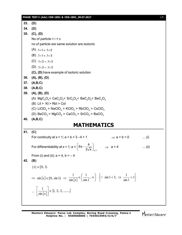**PHASE TEST-I (Adv) CDK-1801 & CDS-1801\_30.07.2017** [ **7** ] **33. (D) 34. (D) 35. (C), (D)** No of particle  $= i \times c$ no of particle are same solution are isotonic  $(A)$ ,  $1 \times 1 \ne 1 \times 2$  $(B)$ . 1×1  $\neq$ . 1×3  $(C)$ ,  $1 \times 3 = 0.1 \times 3$ (D)  $.1 \times 3 = .1 \times 3$ **(C), (D)** have example of isotoric solution **36. (A), (B), (D) 37. (A,B,C) 38. (A,B,C) 39. (A), (B), (D)** (A)  $\mathsf{MgC_2O_4}\textsf{<}$   $\mathsf{CaC_2O_4}\textsf{<}$   $\mathsf{SrC_2O_4}\textsf{<}$   $\mathsf{BaC_2O_4}\textsf{<}$   $\mathsf{BeC_2O_4}$  $(B)$  Lil > KI > RbI > CsI (C) LiClO $_4$  > NaClO $_4$  > KClO $_4$  > RbClO $_4$  > CsClO $_4$ (D)  $\text{BeCO}_3$  >  $\text{MgCO}_3$  >  $\text{CaCO}_3$  >  $\text{SrCO}_3$  >  $\text{BaCO}_3$ **40. (A,B,C) MATHEMATICS 41. (C)** For continuity at  $x = 1$ ;  $a + b = 3 - 4 + 1$   $\implies$   $a + b = 0$  ... (i) For differentiability at  $x = 1$ ; a =  $x = 1$  $6x - \frac{4}{3}$ 2 $\sqrt{x}$   $\int_{x=}$  $\left(6x-\frac{4}{2\sqrt{x}}\right)_{x=1} \Rightarrow a=4$  ... (ii) From (i) and (ii);  $a = 4$ ,  $b = -4$ **42. (B)**  ${x} \in [0, 1)$  $\Rightarrow$  sin $\{x\} \in [0, \sin 1)$   $\Rightarrow$   $\frac{1}{\sin \{x\}} \in \left(\frac{1}{\sin 1}, \infty\right)$ J  $\left(\frac{1}{\cdot} , \infty\right)$  $\setminus$  $\in \left( \frac{1}{\cdot} \right)$ ,  $\infty$ sin1 1 sin 1  $\overline{x}$   $\in \left(\frac{\overline{\sin 1}}{\sin 1}, \infty\right)$   $\left\{\because \sin 1 < 1; \Rightarrow \frac{\overline{\sin 1}}{\sin 1} > 1\right\}$  $\downarrow$  $\overline{\mathcal{L}}$ ╎  $\left\{\because \sin 1 < 1; \Rightarrow \frac{1}{\cdot} > 1\right\}$ sin1  $\therefore$  sin 1 < 1;  $\Rightarrow$   $\frac{1}{1}$  $\therefore \left| \frac{1}{\sin \{x\}} \right| \in \{1, 2, 3, \dots \}$ sin  $\left|\frac{1}{\sqrt{x}}\right| \in$ J  $\overline{\phantom{a}}$ L  $\overline{L}$  $\mathbf{r}$ *x*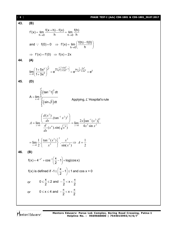| $\begin{bmatrix} 8 \end{bmatrix}$ | PHASE TEST-I (Adv) CDK-1801 & CDS-1801_30.07.2017                                                                                                                                                           |
|-----------------------------------|-------------------------------------------------------------------------------------------------------------------------------------------------------------------------------------------------------------|
| 43.                               | (B)                                                                                                                                                                                                         |
|                                   | $f'(x) = \lim_{h \to 0} \frac{f(x+h) - f(x)}{h} = \lim_{h \to 0} \frac{f(h)}{h}$                                                                                                                            |
|                                   | and $\therefore$ f(0)=0 $\Rightarrow$ f'(x)= $\lim_{h\to 0} \left( \frac{f(h)-f(0)}{h} \right)$                                                                                                             |
|                                   | $\Rightarrow$ f'(x) = f'(0) $\Rightarrow$ f(x) = 2x                                                                                                                                                         |
| 44                                | (A)                                                                                                                                                                                                         |
|                                   | $\lim_{x\to 0} \left( \frac{1+5x^2}{1+3x^2} \right)^{\frac{1}{x^2}} = e^{\lim_{x\to 0} \frac{1}{x^2} \left( \frac{1+5x^2}{1+3x^2} - 1 \right)} = e^{\lim_{x\to 0} \frac{1}{x^2} \frac{2x^2}{1+3x^2}} = e^2$ |
| 45.                               | (D)                                                                                                                                                                                                         |
|                                   | A = $\lim_{x\to 0} \frac{\int_{0}^{x^2} (\tan^{-1}t)^2 dt}{\int_{0}^{x^4} (\sin \sqrt{t}) dt}$<br>Applying, L'Hospital's rule                                                                               |
|                                   | $A = \lim_{x \to 0} \frac{\left( \frac{u(x)}{dx} \cdot (\tan^{-1} x^2)^2 \right)}{\frac{d}{dx} (x^4) \sin(x^4)} = \lim_{x \to 0} \frac{2x \{ \tan^{-1} (x^2) \}^2}{4x^3 \sin x^2}$                          |
|                                   | $= \lim_{x\to 0} \frac{1}{2} \cdot \left\{ \frac{\tan^{-1}(x^2)}{x^2} \right\}^2 \cdot \frac{x^2}{\sin(x^2)} \Rightarrow A = \frac{1}{2}$                                                                   |
| 46.                               | (B)                                                                                                                                                                                                         |
|                                   | $f(x) = 4^{-x^2} + \cos^{-1}\left(\frac{x}{2} - 1\right) + \log(\cos x)$                                                                                                                                    |
|                                   | f(x) is defined if -1 $\leq \left(\frac{x}{2}-1\right) \leq 1$ and cos x > 0                                                                                                                                |
|                                   | $0 \leq \frac{x}{2} \leq 2$ and $-\frac{\pi}{2} < x < \frac{\pi}{2}$<br>or                                                                                                                                  |
|                                   | $0 \le x \le 4$ and $-\frac{\pi}{2} < x < \frac{\pi}{2}$<br>or                                                                                                                                              |
|                                   |                                                                                                                                                                                                             |

Mentors<sup>e</sup> Eduserv-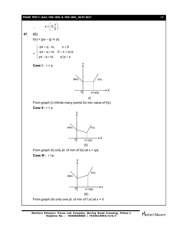### **PHASE TEST-I (Adv) CDK-1801 & CDS-1801\_30.07.2017** [ **9** ]



Mentors<sup>e</sup> Eduserv<sup>®</sup>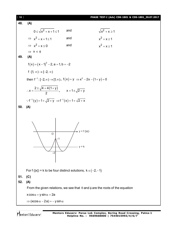[ **10** ] **PHASE TEST-I (Adv) CDK-1801 & CDS-1801\_30.07.2017 48. (A)**  $0 \leq \sqrt{x^2 + x + 1} \leq 1$  and  $\sqrt{x^2}$  $\sqrt{x^2 + x} \ge 1$  $\Rightarrow$   $x^2 + x + 1 \leq 1$  and  $x^2$  $x^2 + x \ge 1$  $\Rightarrow$   $x^2 + x \le 0$  and  $x^2$  $x^2 + x \ge 1$  $\Rightarrow$   $x \in \phi$ **49. (A)**  $f(x) = (x-1)^2 - 2$ , a = 1, b = -2 f :  $[1, \infty) \rightarrow [-2, \infty)$ then  $f^{-1}: [-2, \infty) \to [1, \infty)$ ,  $f(x) = y \implies x^2 - 2x - (1 + y) = 0$  $2 \pm \sqrt{4 + 4(1 + y)}$ x 2  $\pm \sqrt{4+4(1+)}$  $\therefore x = \frac{y}{2}$ ,  $x = 1 \pm \sqrt{2 + y}$  $\therefore f^{-1}(y) = 1 + \sqrt{2 + y} \Rightarrow f^{-1}(x) = 1 + \sqrt{2 + x}$ **50. (A)** –1  $\overline{O}$ –2  $y = f(|x|)$  $v = k$ For f (|x|) = k to be four distinct solutions,  $k \in (-2, -1)$ **51. (C) 52. (A)** From the given relations, we see that  $\theta$  and  $\phi$  are the roots of the equation  $x \cos \alpha + y \sin \alpha = 2a$  $\Rightarrow$  (xcos  $\alpha - 2a$ ) = -y sin  $\alpha$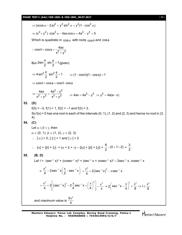|     | PHASE TEST-I (Adv) CDK-1801 & CDS-1801_30.07.2017<br>$[11]$                                                                                                                                                              |
|-----|--------------------------------------------------------------------------------------------------------------------------------------------------------------------------------------------------------------------------|
|     | $\Rightarrow$ (xcos $\alpha - 2a$ ) <sup>2</sup> = $y^2 \sin^2 \alpha = y^2(1 - \cos^2 \alpha)$                                                                                                                          |
|     | $\Rightarrow$ $(x^2 + y^2) \cdot cos^2 \alpha - 4ax cos \alpha + 4a^2 - y^2 = 0$                                                                                                                                         |
|     | Which is quadratic in $cos\alpha$ with roots $cos\theta$ and $cos\phi$                                                                                                                                                   |
|     | $\therefore$ cos $\theta$ + cos $\phi = \frac{4ax}{x^2 + y^2}$                                                                                                                                                           |
|     | But $2\sin{\frac{\theta}{2}}$ . sin $\frac{\phi}{2}$ = 1 (given)                                                                                                                                                         |
|     | $\Rightarrow$ 4 sin <sup>2</sup> $\frac{\theta}{2}$ ·sin <sup>2</sup> $\frac{\phi}{2}$ =1 $\Rightarrow$ (1-cos $\theta$ )(1-cos $\phi$ )=1                                                                               |
|     | $\Rightarrow$ cos $\theta$ + cos $\phi$ = cos $\theta$ · cos $\phi$                                                                                                                                                      |
|     | ⇒ $\frac{4ax}{x^2 + y^2} = \frac{4a^2 - y^2}{x^2 + y^2}$ ⇒ $4ax = 4a^2 - y^2$ ⇒ $y^2 = 4a(a-x)$                                                                                                                          |
| 53. | (D)                                                                                                                                                                                                                      |
|     | $f(0) = -3$ , $f(1) = 1$ , $f(2) = -1$ and $f(3) = 3$ .                                                                                                                                                                  |
|     | So $f(x) = 0$ has one root in each of the intervals $(0, 1)$ , $(1, 2)$ and $(2, 3)$ and hence no root in $(3, 1)$<br>4).                                                                                                |
| 54. | (C)                                                                                                                                                                                                                      |
|     | Let $\alpha \leq \beta \leq \gamma$ , then                                                                                                                                                                               |
|     | $\alpha \in (0, 1), \beta \in (1, 2), \gamma \in (2, 3)$                                                                                                                                                                 |
|     | $\therefore$ $\alpha$ = 0, $\beta$ = 1 and $\gamma$ = 2                                                                                                                                                                  |
|     | :. $\{\alpha\} + \{\beta\} + \{\gamma\} = (\alpha + \beta + \gamma) - ([\alpha] + [\beta] + [\gamma]) = \frac{9}{2} - (0 + 1 + 2) = \frac{3}{2}.$                                                                        |
| 55. | (B, D)                                                                                                                                                                                                                   |
|     | Let $I = (sec^{-1} x)^2 + (cosec^{-1} x)^2 = (sec^{-1} x + cosec^{-1} x)^2 - 2sec^{-1} x$ . $cosec^{-1} x$                                                                                                               |
|     | = $\frac{\pi^2}{4}$ - 2sec <sup>-1</sup> x $\left(\frac{\pi}{2}$ - sec <sup>-1</sup> x $\right)$ = $\frac{\pi^2}{4}$ + 2 (sec <sup>-1</sup> x) <sup>2</sup> - $\pi$ sec <sup>-1</sup> x                                  |
|     | $=\frac{\pi^2}{4}+2\left \left(\sec^{-1}x\right)^2-2\frac{\pi}{4}\sec^{-1}x+\left(\frac{\pi}{4}\right)^2\right -\frac{\pi^2}{8}=2\left(\sec^{-1}x-\frac{\pi}{4}\right)^2+\frac{\pi^2}{8}\Rightarrow1\geq\frac{\pi^2}{8}$ |
|     | and maximum value is $\frac{5\pi^2}{4}$                                                                                                                                                                                  |